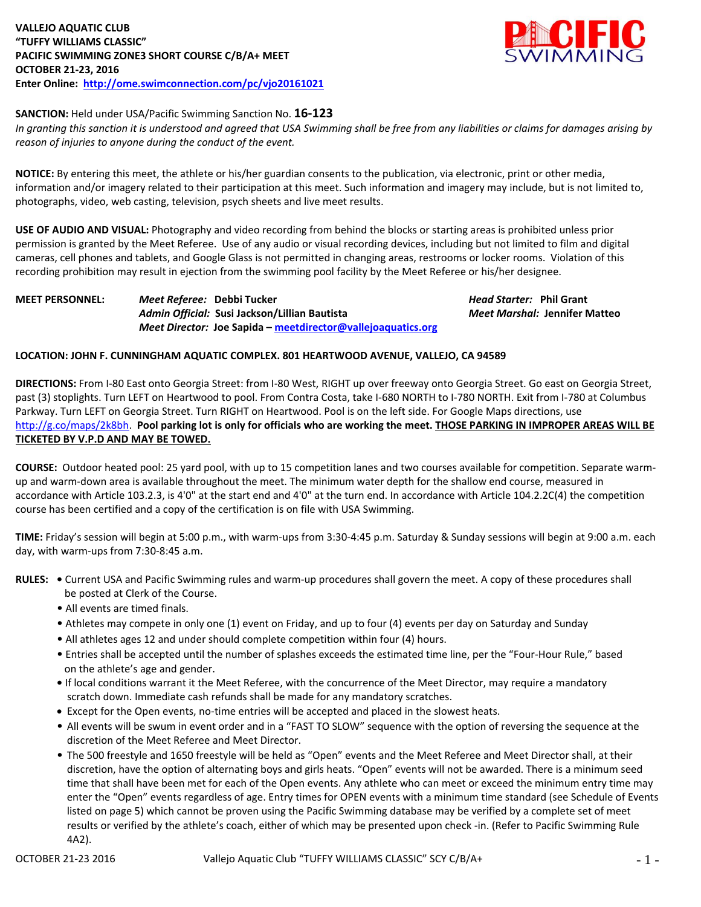

# **SANCTION:** Held under USA/Pacific Swimming Sanction No. **16-123**

*In granting this sanction it is understood and agreed that USA Swimming shall be free from any liabilities or claims for damages arising by reason of injuries to anyone during the conduct of the event.*

**NOTICE:** By entering this meet, the athlete or his/her guardian consents to the publication, via electronic, print or other media, information and/or imagery related to their participation at this meet. Such information and imagery may include, but is not limited to, photographs, video, web casting, television, psych sheets and live meet results.

**USE OF AUDIO AND VISUAL:** Photography and video recording from behind the blocks or starting areas is prohibited unless prior permission is granted by the Meet Referee. Use of any audio or visual recording devices, including but not limited to film and digital cameras, cell phones and tablets, and Google Glass is not permitted in changing areas, restrooms or locker rooms. Violation of this recording prohibition may result in ejection from the swimming pool facility by the Meet Referee or his/her designee.

*Admin Official:* **Susi Jackson/Lillian Bautista** *Meet Marshal:* **Jennifer Matteo** *Meet Director:* **Joe Sapida – [meetdirector@vallejoaquatics.org](mailto:meetdirector@vallejoaquatics.org)**

**MEET PERSONNEL:** *Meet Referee:* **Debbi Tucker** *Head Starter:* **Phil Grant**

# **LOCATION: JOHN F. CUNNINGHAM AQUATIC COMPLEX. 801 HEARTWOOD AVENUE, VALLEJO, CA 94589**

**DIRECTIONS:** From I-80 East onto Georgia Street: from I-80 West, RIGHT up over freeway onto Georgia Street. Go east on Georgia Street, past (3) stoplights. Turn LEFT on Heartwood to pool. From Contra Costa, take I-680 NORTH to I-780 NORTH. Exit from I-780 at Columbus Parkway. Turn LEFT on Georgia Street. Turn RIGHT on Heartwood. Pool is on the left side. For Google Maps directions, use [http://g.co/maps/2k8bh.](http://g.co/maps/2k8bh) **Pool parking lot is only for officials who are working the meet. THOSE PARKING IN IMPROPER AREAS WILL BE TICKETED BY V.P.D AND MAY BE TOWED.** 

**COURSE:** Outdoor heated pool: 25 yard pool, with up to 15 competition lanes and two courses available for competition. Separate warmup and warm-down area is available throughout the meet. The minimum water depth for the shallow end course, measured in accordance with Article 103.2.3, is 4'0" at the start end and 4'0" at the turn end. In accordance with Article 104.2.2C(4) the competition course has been certified and a copy of the certification is on file with USA Swimming.

**TIME:** Friday's session will begin at 5:00 p.m., with warm-ups from 3:30-4:45 p.m. Saturday & Sunday sessions will begin at 9:00 a.m. each day, with warm-ups from 7:30-8:45 a.m.

- **RULES:** Current USA and Pacific Swimming rules and warm-up procedures shall govern the meet. A copy of these procedures shall be posted at Clerk of the Course.
	- All events are timed finals.
	- Athletes may compete in only one (1) event on Friday, and up to four (4) events per day on Saturday and Sunday
	- All athletes ages 12 and under should complete competition within four (4) hours.
	- Entries shall be accepted until the number of splashes exceeds the estimated time line, per the "Four-Hour Rule," based on the athlete's age and gender.
	- If local conditions warrant it the Meet Referee, with the concurrence of the Meet Director, may require a mandatory scratch down. Immediate cash refunds shall be made for any mandatory scratches.
	- Except for the Open events, no-time entries will be accepted and placed in the slowest heats.
	- All events will be swum in event order and in a "FAST TO SLOW" sequence with the option of reversing the sequence at the discretion of the Meet Referee and Meet Director.
	- The 500 freestyle and 1650 freestyle will be held as "Open" events and the Meet Referee and Meet Director shall, at their discretion, have the option of alternating boys and girls heats. "Open" events will not be awarded. There is a minimum seed time that shall have been met for each of the Open events. Any athlete who can meet or exceed the minimum entry time may enter the "Open" events regardless of age. Entry times for OPEN events with a minimum time standard (see Schedule of Events listed on page 5) which cannot be proven using the Pacific Swimming database may be verified by a complete set of meet results or verified by the athlete's coach, either of which may be presented upon check -in. (Refer to Pacific Swimming Rule 4A2).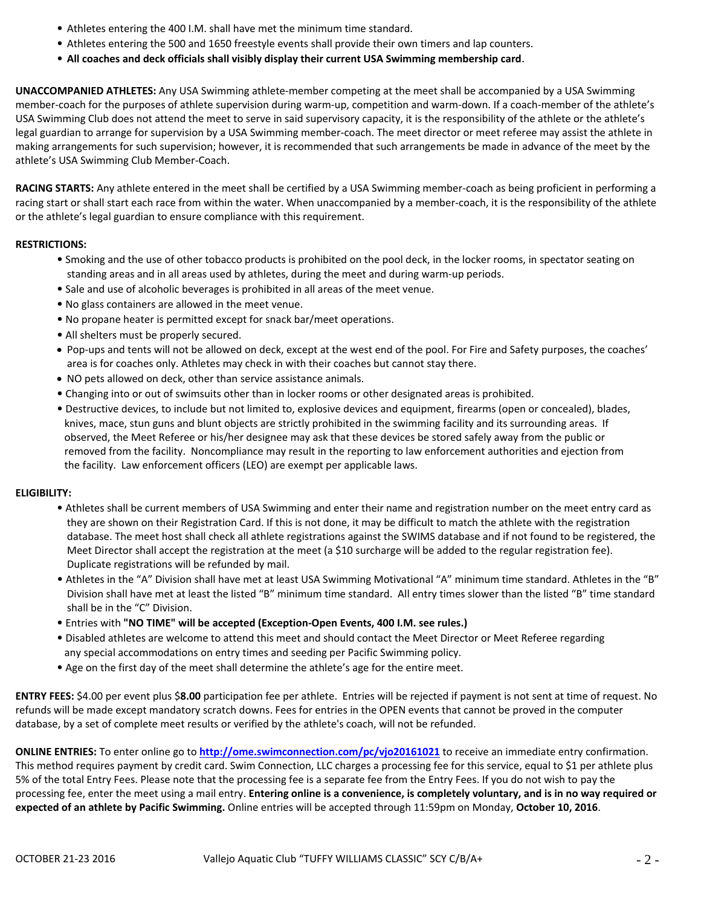- Athletes entering the 400 I.M. shall have met the minimum time standard.
- Athletes entering the 500 and 1650 freestyle events shall provide their own timers and lap counters.
- **All coaches and deck officials shall visibly display their current USA Swimming membership card**.

**UNACCOMPANIED ATHLETES:** Any USA Swimming athlete-member competing at the meet shall be accompanied by a USA Swimming member-coach for the purposes of athlete supervision during warm-up, competition and warm-down. If a coach-member of the athlete's USA Swimming Club does not attend the meet to serve in said supervisory capacity, it is the responsibility of the athlete or the athlete's legal guardian to arrange for supervision by a USA Swimming member-coach. The meet director or meet referee may assist the athlete in making arrangements for such supervision; however, it is recommended that such arrangements be made in advance of the meet by the athlete's USA Swimming Club Member-Coach.

**RACING STARTS:** Any athlete entered in the meet shall be certified by a USA Swimming member-coach as being proficient in performing a racing start or shall start each race from within the water. When unaccompanied by a member-coach, it is the responsibility of the athlete or the athlete's legal guardian to ensure compliance with this requirement.

### **RESTRICTIONS:**

- Smoking and the use of other tobacco products is prohibited on the pool deck, in the locker rooms, in spectator seating on standing areas and in all areas used by athletes, during the meet and during warm-up periods.
- Sale and use of alcoholic beverages is prohibited in all areas of the meet venue.
- No glass containers are allowed in the meet venue.
- No propane heater is permitted except for snack bar/meet operations.
- All shelters must be properly secured.
- Pop-ups and tents will not be allowed on deck, except at the west end of the pool. For Fire and Safety purposes, the coaches' area is for coaches only. Athletes may check in with their coaches but cannot stay there.
- NO pets allowed on deck, other than service assistance animals.
- Changing into or out of swimsuits other than in locker rooms or other designated areas is prohibited.
- Destructive devices, to include but not limited to, explosive devices and equipment, firearms (open or concealed), blades, knives, mace, stun guns and blunt objects are strictly prohibited in the swimming facility and its surrounding areas. If observed, the Meet Referee or his/her designee may ask that these devices be stored safely away from the public or removed from the facility. Noncompliance may result in the reporting to law enforcement authorities and ejection from the facility. Law enforcement officers (LEO) are exempt per applicable laws.

### **ELIGIBILITY:**

- Athletes shall be current members of USA Swimming and enter their name and registration number on the meet entry card as they are shown on their Registration Card. If this is not done, it may be difficult to match the athlete with the registration database. The meet host shall check all athlete registrations against the SWIMS database and if not found to be registered, the Meet Director shall accept the registration at the meet (a \$10 surcharge will be added to the regular registration fee). Duplicate registrations will be refunded by mail.
- Athletes in the "A" Division shall have met at least USA Swimming Motivational "A" minimum time standard. Athletes in the "B" Division shall have met at least the listed "B" minimum time standard. All entry times slower than the listed "B" time standard shall be in the "C" Division.
- Entries with **"NO TIME" will be accepted (Exception-Open Events, 400 I.M. see rules.)**
- Disabled athletes are welcome to attend this meet and should contact the Meet Director or Meet Referee regarding any special accommodations on entry times and seeding per Pacific Swimming policy.
- Age on the first day of the meet shall determine the athlete's age for the entire meet.

**ENTRY FEES:** \$4.00 per event plus \$**8.00** participation fee per athlete. Entries will be rejected if payment is not sent at time of request. No refunds will be made except mandatory scratch downs. Fees for entries in the OPEN events that cannot be proved in the computer database, by a set of complete meet results or verified by the athlete's coach, will not be refunded.

**ONLINE ENTRIES:** To enter online go to **<http://ome.swimconnection.com/pc/vjo20161021>** to receive an immediate entry confirmation. This method requires payment by credit card. Swim Connection, LLC charges a processing fee for this service, equal to \$1 per athlete plus 5% of the total Entry Fees. Please note that the processing fee is a separate fee from the Entry Fees. If you do not wish to pay the processing fee, enter the meet using a mail entry. **Entering online is a convenience, is completely voluntary, and is in no way required or expected of an athlete by Pacific Swimming.** Online entries will be accepted through 11:59pm on Monday, **October 10, 2016**.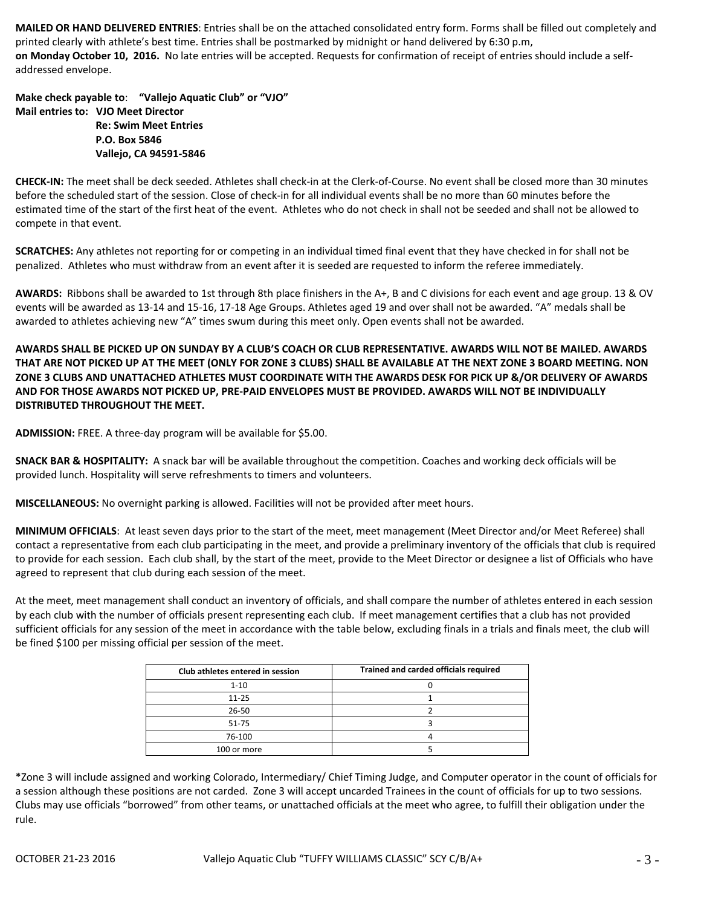**MAILED OR HAND DELIVERED ENTRIES**: Entries shall be on the attached consolidated entry form. Forms shall be filled out completely and printed clearly with athlete's best time. Entries shall be postmarked by midnight or hand delivered by 6:30 p.m, **on Monday October 10, 2016.** No late entries will be accepted. Requests for confirmation of receipt of entries should include a selfaddressed envelope.

**Make check payable to**: **"Vallejo Aquatic Club" or "VJO" Mail entries to: VJO Meet Director Re: Swim Meet Entries P.O. Box 5846 Vallejo, CA 94591-5846**

**CHECK-IN:** The meet shall be deck seeded. Athletes shall check-in at the Clerk-of-Course. No event shall be closed more than 30 minutes before the scheduled start of the session. Close of check-in for all individual events shall be no more than 60 minutes before the estimated time of the start of the first heat of the event. Athletes who do not check in shall not be seeded and shall not be allowed to compete in that event.

**SCRATCHES:** Any athletes not reporting for or competing in an individual timed final event that they have checked in for shall not be penalized. Athletes who must withdraw from an event after it is seeded are requested to inform the referee immediately.

**AWARDS:** Ribbons shall be awarded to 1st through 8th place finishers in the A+, B and C divisions for each event and age group. 13 & OV events will be awarded as 13-14 and 15-16, 17-18 Age Groups. Athletes aged 19 and over shall not be awarded. "A" medals shall be awarded to athletes achieving new "A" times swum during this meet only. Open events shall not be awarded.

**AWARDS SHALL BE PICKED UP ON SUNDAY BY A CLUB'S COACH OR CLUB REPRESENTATIVE. AWARDS WILL NOT BE MAILED. AWARDS THAT ARE NOT PICKED UP AT THE MEET (ONLY FOR ZONE 3 CLUBS) SHALL BE AVAILABLE AT THE NEXT ZONE 3 BOARD MEETING. NON ZONE 3 CLUBS AND UNATTACHED ATHLETES MUST COORDINATE WITH THE AWARDS DESK FOR PICK UP &/OR DELIVERY OF AWARDS AND FOR THOSE AWARDS NOT PICKED UP, PRE-PAID ENVELOPES MUST BE PROVIDED. AWARDS WILL NOT BE INDIVIDUALLY DISTRIBUTED THROUGHOUT THE MEET.**

**ADMISSION:** FREE. A three-day program will be available for \$5.00.

**SNACK BAR & HOSPITALITY:** A snack bar will be available throughout the competition. Coaches and working deck officials will be provided lunch. Hospitality will serve refreshments to timers and volunteers.

**MISCELLANEOUS:** No overnight parking is allowed. Facilities will not be provided after meet hours.

**MINIMUM OFFICIALS**: At least seven days prior to the start of the meet, meet management (Meet Director and/or Meet Referee) shall contact a representative from each club participating in the meet, and provide a preliminary inventory of the officials that club is required to provide for each session. Each club shall, by the start of the meet, provide to the Meet Director or designee a list of Officials who have agreed to represent that club during each session of the meet.

At the meet, meet management shall conduct an inventory of officials, and shall compare the number of athletes entered in each session by each club with the number of officials present representing each club. If meet management certifies that a club has not provided sufficient officials for any session of the meet in accordance with the table below, excluding finals in a trials and finals meet, the club will be fined \$100 per missing official per session of the meet.

| Club athletes entered in session | Trained and carded officials required |
|----------------------------------|---------------------------------------|
| $1 - 10$                         |                                       |
| $11 - 25$                        |                                       |
| 26-50                            |                                       |
| $51 - 75$                        |                                       |
| 76-100                           |                                       |
| 100 or more                      |                                       |

\*Zone 3 will include assigned and working Colorado, Intermediary/ Chief Timing Judge, and Computer operator in the count of officials for a session although these positions are not carded. Zone 3 will accept uncarded Trainees in the count of officials for up to two sessions. Clubs may use officials "borrowed" from other teams, or unattached officials at the meet who agree, to fulfill their obligation under the rule.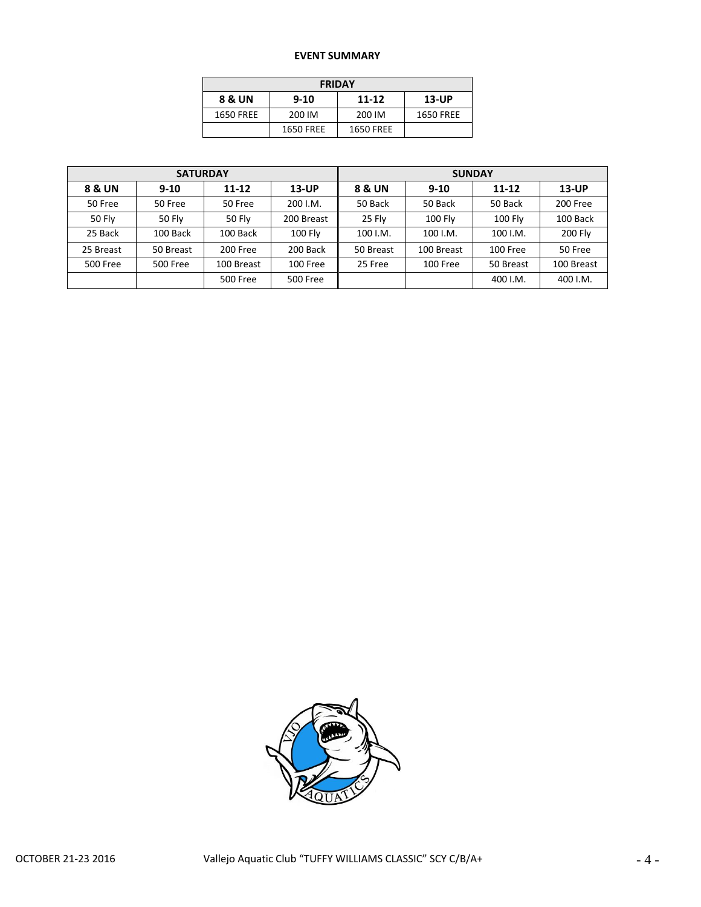## **EVENT SUMMARY**

| <b>FRIDAY</b> |                  |                  |           |  |  |  |  |  |
|---------------|------------------|------------------|-----------|--|--|--|--|--|
| 8 & UN        | $9 - 10$         | 11-12            | $13-UP$   |  |  |  |  |  |
| 1650 FREE     | 200 IM           | 200 IM           | 1650 FREE |  |  |  |  |  |
|               | <b>1650 FREE</b> | <b>1650 FREE</b> |           |  |  |  |  |  |

|                 | <b>SATURDAY</b> |            |                 | <b>SUNDAY</b> |                |           |                |  |
|-----------------|-----------------|------------|-----------------|---------------|----------------|-----------|----------------|--|
| 8 & UN          | $9-10$          | $11 - 12$  | $13-UP$         |               | $9-10$         | $11 - 12$ | 13-UP          |  |
| 50 Free         | 50 Free         | 50 Free    | 200 I.M.        | 50 Back       | 50 Back        | 50 Back   | 200 Free       |  |
| <b>50 Fly</b>   | 50 Flv          | 50 Flv     | 200 Breast      | 25 Flv        | <b>100 Flv</b> | 100 Fly   | 100 Back       |  |
| 25 Back         | 100 Back        | 100 Back   | 100 Fly         | 100 I.M.      | 100 I.M.       | 100 I.M.  | <b>200 Fly</b> |  |
| 25 Breast       | 50 Breast       | 200 Free   | 200 Back        | 50 Breast     | 100 Breast     | 100 Free  | 50 Free        |  |
| <b>500 Free</b> | <b>500 Free</b> | 100 Breast | 100 Free        | 25 Free       | 100 Free       | 50 Breast | 100 Breast     |  |
|                 |                 | 500 Free   | <b>500 Free</b> |               |                | 400 I.M.  | 400 I.M.       |  |

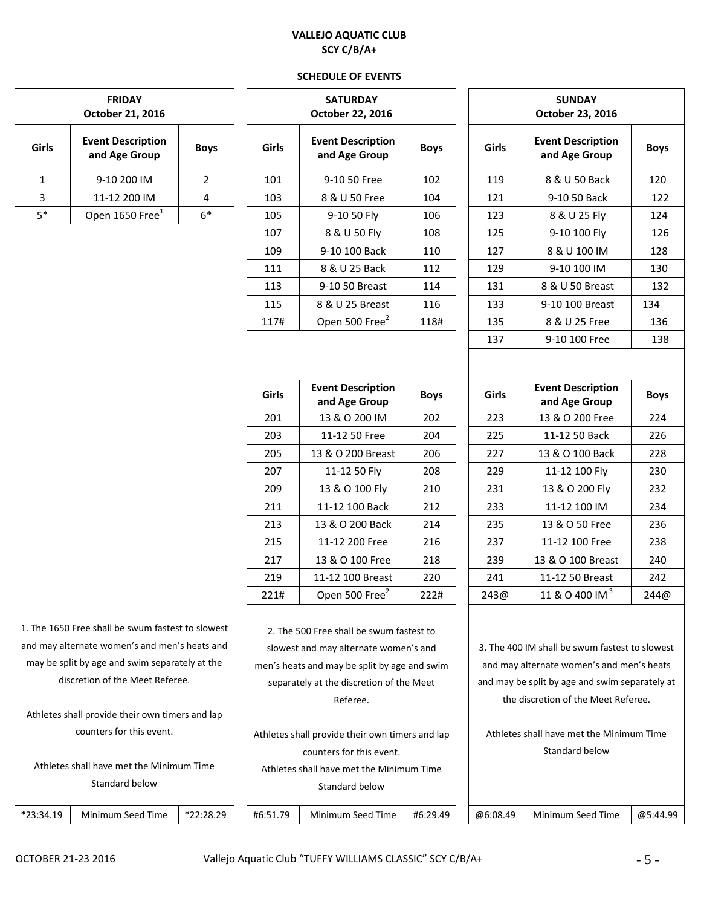## **VALLEJO AQUATIC CLUB SCY C/B/A+**

### **SCHEDULE OF EVENTS**

| $*23:34.19$ | Minimum Se |
|-------------|------------|

1. The 1650 Free shall be swum fastest to slowest and may alternate women's and men's heats and may be split by age and swim separately at the discretion of the Meet Referee.

Athletes shall provide their own timers and lap counters for this event.

Athletes shall have met the Minimum Time Standard below

| <b>FRIDAY</b><br>October 21, 2016                                                         |                                           |                |       | <b>SATURDAY</b><br>October 22, 2016                                               |             |       | <b>SUNDAY</b><br>October 23, 2016             |             |  |
|-------------------------------------------------------------------------------------------|-------------------------------------------|----------------|-------|-----------------------------------------------------------------------------------|-------------|-------|-----------------------------------------------|-------------|--|
| irls                                                                                      | <b>Event Description</b><br>and Age Group | <b>Boys</b>    | Girls | <b>Event Description</b><br>and Age Group                                         | <b>Boys</b> | Girls | <b>Event Description</b><br>and Age Group     | <b>Boys</b> |  |
| $\mathbf{1}$                                                                              | 9-10 200 IM                               | $\overline{2}$ | 101   | 9-10 50 Free                                                                      | 102         | 119   | 8 & U 50 Back                                 | 120         |  |
| $\overline{\mathbf{3}}$                                                                   | 11-12 200 IM                              | 4              | 103   | 8 & U 50 Free                                                                     | 104         | 121   | 9-10 50 Back                                  | 122         |  |
|                                                                                           | Open 1650 Free <sup>1</sup>               | $6*$           | 105   | 9-10 50 Fly                                                                       | 106         | 123   | 8 & U 25 Fly                                  | 124         |  |
|                                                                                           |                                           |                | 107   | 8 & U 50 Fly                                                                      | 108         | 125   | 9-10 100 Fly                                  | 126         |  |
|                                                                                           |                                           |                | 109   | 9-10 100 Back                                                                     | 110         | 127   | 8 & U 100 IM                                  | 128         |  |
|                                                                                           |                                           |                | 111   | 8 & U 25 Back                                                                     | 112         | 129   | 9-10 100 IM                                   | 130         |  |
|                                                                                           |                                           |                | 113   | 9-10 50 Breast                                                                    | 114         | 131   | 8 & U 50 Breast                               | 132         |  |
|                                                                                           |                                           |                | 115   | 8 & U 25 Breast                                                                   | 116         | 133   | 9-10 100 Breast                               | 134         |  |
|                                                                                           |                                           |                | 117#  | Open 500 Free <sup>2</sup>                                                        | 118#        | 135   | 8 & U 25 Free                                 | 136         |  |
|                                                                                           |                                           |                |       |                                                                                   |             | 137   | 9-10 100 Free                                 | 138         |  |
|                                                                                           |                                           |                | Girls | <b>Event Description</b><br>and Age Group                                         | <b>Boys</b> | Girls | <b>Event Description</b><br>and Age Group     | <b>Boys</b> |  |
|                                                                                           |                                           |                | 201   | 13 & O 200 IM                                                                     | 202         | 223   | 13 & O 200 Free                               | 224         |  |
|                                                                                           |                                           |                | 203   | 11-12 50 Free                                                                     | 204         | 225   | 11-12 50 Back                                 | 226         |  |
|                                                                                           |                                           |                | 205   | 13 & O 200 Breast                                                                 | 206         | 227   | 13 & O 100 Back                               | 228         |  |
|                                                                                           |                                           |                | 207   | 11-12 50 Fly                                                                      | 208         | 229   | 11-12 100 Fly                                 | 230         |  |
|                                                                                           |                                           |                | 209   | 13 & O 100 Fly                                                                    | 210         | 231   | 13 & O 200 Fly                                | 232         |  |
|                                                                                           |                                           |                | 211   | 11-12 100 Back                                                                    | 212         | 233   | 11-12 100 IM                                  | 234         |  |
|                                                                                           |                                           |                | 213   | 13 & O 200 Back                                                                   | 214         | 235   | 13 & O 50 Free                                | 236         |  |
|                                                                                           |                                           |                | 215   | 11-12 200 Free                                                                    | 216         | 237   | 11-12 100 Free                                | 238         |  |
|                                                                                           |                                           |                | 217   | 13 & O 100 Free                                                                   | 218         | 239   | 13 & O 100 Breast                             | 240         |  |
|                                                                                           |                                           |                | 219   | 11-12 100 Breast                                                                  | 220         | 241   | 11-12 50 Breast                               | 242         |  |
|                                                                                           |                                           |                | 221#  | Open 500 Free <sup>2</sup>                                                        | 222#        | 243@  | 11 & O 400 IM <sup>3</sup>                    | 244@        |  |
| e 1650 Free shall be swum fastest to slowest<br>may alternate women's and men's heats and |                                           |                |       | 2. The 500 Free shall be swum fastest to<br>slowest and may alternate women's and |             |       | 3. The 400 IM shall be swum fastest to slowes |             |  |

men's heats and may be split by age and swim separately at the discretion of the Meet Referee.

Athletes shall provide their own timers and lap counters for this event. Athletes shall have met the Minimum Time Standard below

| 3. The 400 IM shall be swum fastest to slowest |
|------------------------------------------------|
| and may alternate women's and men's heats      |
| and may be split by age and swim separately at |
| the discretion of the Meet Referee.            |
|                                                |
| Athlatas shall have met the Minimum Time       |

Athletes shall have met the Minimum Time Standard below

eed Time | \*22:28.29 | | #6:51.79 | Minimum Seed Time | #6:29.49 | | @6:08.49 | Minimum Seed Time | @5:44.99

|       | <b>FRIDAY</b><br>October 21, 2016         |                |  |  |
|-------|-------------------------------------------|----------------|--|--|
| Girls | <b>Event Description</b><br>and Age Group |                |  |  |
| 1     | 9-10 200 IM                               | $\mathfrak{p}$ |  |  |
| 3     |                                           |                |  |  |
| $5*$  | Open 1650 Free <sup>1</sup>               | $6*$           |  |  |

244@